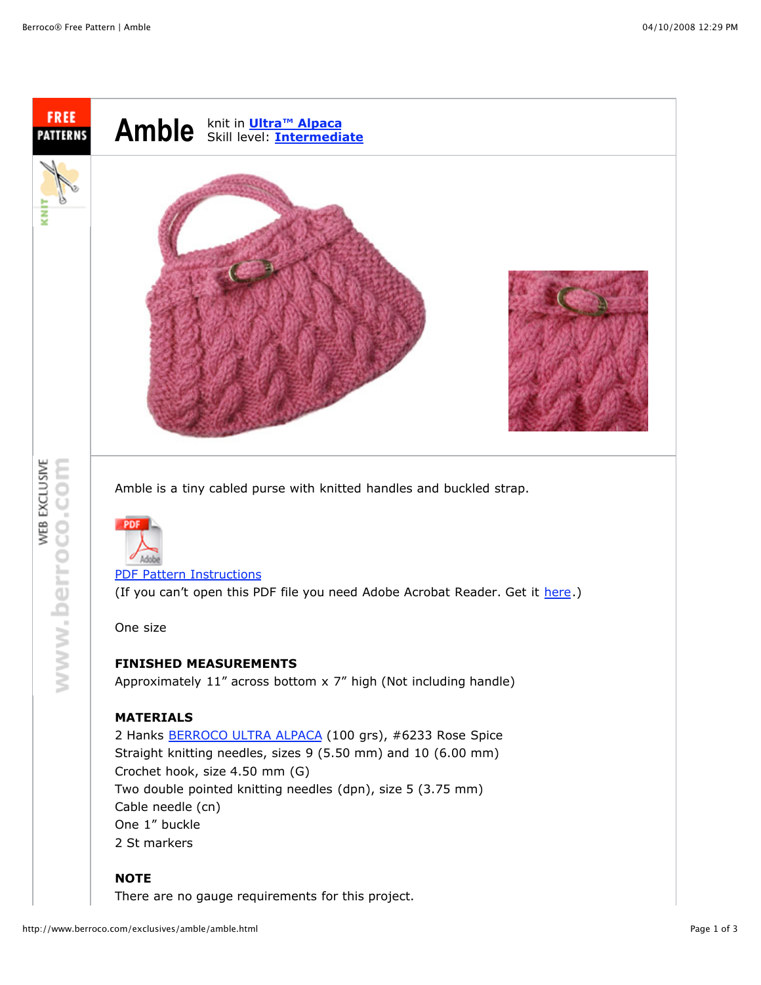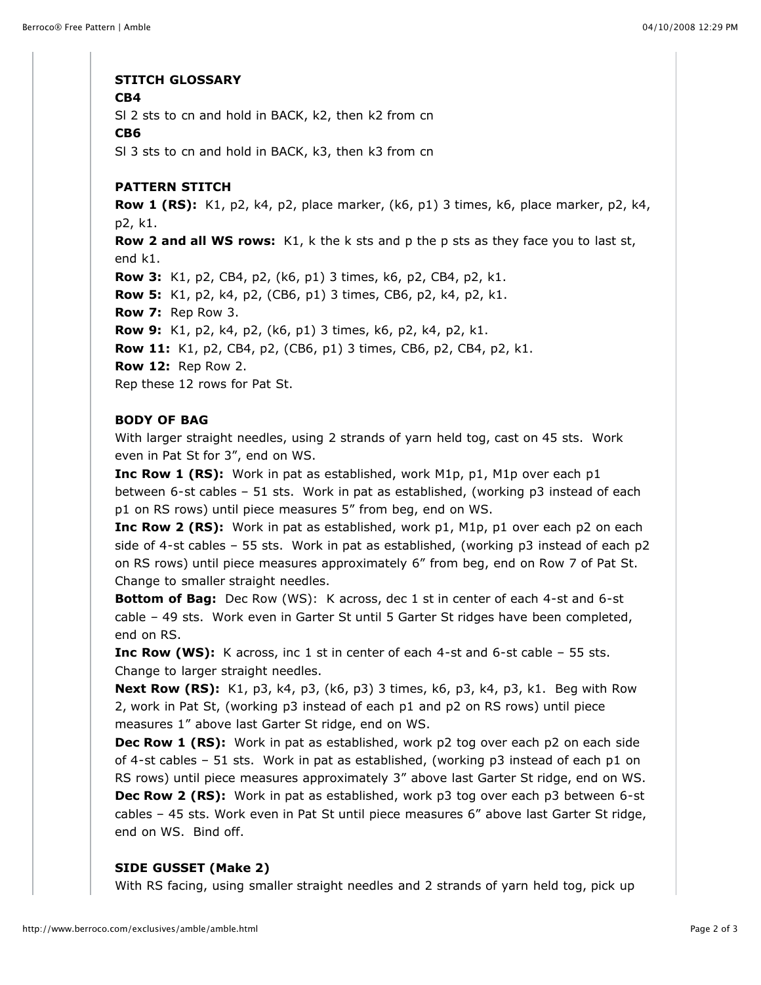## **STITCH GLOSSARY**

#### **CB4**

Sl 2 sts to cn and hold in BACK, k2, then k2 from cn

#### **CB6**

Sl 3 sts to cn and hold in BACK, k3, then k3 from cn

## **PATTERN STITCH**

**Row 1 (RS):** K1, p2, k4, p2, place marker, (k6, p1) 3 times, k6, place marker, p2, k4, p2, k1. **Row 2 and all WS rows:** K1, k the k sts and p the p sts as they face you to last st, end k1. **Row 3:** K1, p2, CB4, p2, (k6, p1) 3 times, k6, p2, CB4, p2, k1. **Row 5:** K1, p2, k4, p2, (CB6, p1) 3 times, CB6, p2, k4, p2, k1. **Row 7:** Rep Row 3. **Row 9:** K1, p2, k4, p2, (k6, p1) 3 times, k6, p2, k4, p2, k1. **Row 11:** K1, p2, CB4, p2, (CB6, p1) 3 times, CB6, p2, CB4, p2, k1. **Row 12:** Rep Row 2. Rep these 12 rows for Pat St.

# **BODY OF BAG**

With larger straight needles, using 2 strands of yarn held tog, cast on 45 sts. Work even in Pat St for 3", end on WS.

**Inc Row 1 (RS):** Work in pat as established, work M1p, p1, M1p over each p1 between 6-st cables – 51 sts. Work in pat as established, (working p3 instead of each p1 on RS rows) until piece measures 5" from beg, end on WS.

**Inc Row 2 (RS):** Work in pat as established, work p1, M1p, p1 over each p2 on each side of 4-st cables – 55 sts. Work in pat as established, (working p3 instead of each p2 on RS rows) until piece measures approximately 6" from beg, end on Row 7 of Pat St. Change to smaller straight needles.

**Bottom of Bag:** Dec Row (WS): K across, dec 1 st in center of each 4-st and 6-st cable – 49 sts. Work even in Garter St until 5 Garter St ridges have been completed, end on RS.

**Inc Row (WS):** K across, inc 1 st in center of each 4-st and 6-st cable – 55 sts. Change to larger straight needles.

**Next Row (RS):** K1, p3, k4, p3, (k6, p3) 3 times, k6, p3, k4, p3, k1. Beg with Row 2, work in Pat St, (working p3 instead of each p1 and p2 on RS rows) until piece measures 1" above last Garter St ridge, end on WS.

**Dec Row 1 (RS):** Work in pat as established, work p2 tog over each p2 on each side of 4-st cables – 51 sts. Work in pat as established, (working p3 instead of each p1 on RS rows) until piece measures approximately 3" above last Garter St ridge, end on WS. **Dec Row 2 (RS):** Work in pat as established, work p3 tog over each p3 between 6-st cables – 45 sts. Work even in Pat St until piece measures 6" above last Garter St ridge, end on WS. Bind off.

# **SIDE GUSSET (Make 2)**

With RS facing, using smaller straight needles and 2 strands of yarn held tog, pick up